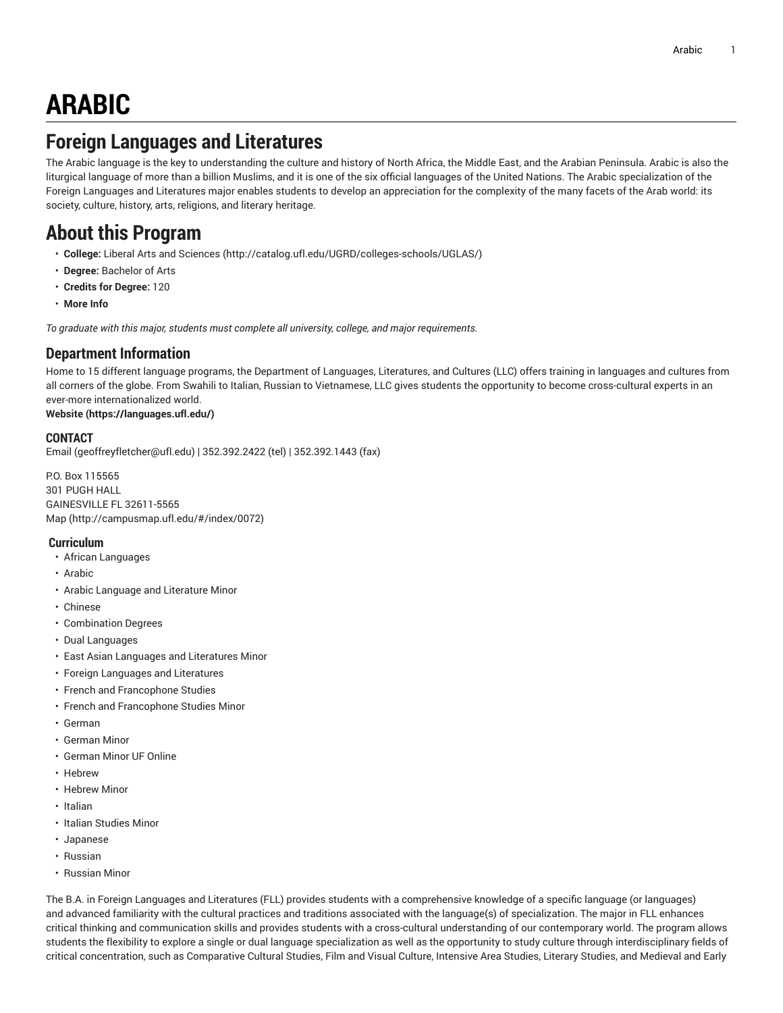# **ARABIC**

# **Foreign Languages and Literatures**

The Arabic language is the key to understanding the culture and history of North Africa, the Middle East, and the Arabian Peninsula. Arabic is also the liturgical language of more than a billion Muslims, and it is one of the six official languages of the United Nations. The Arabic specialization of the Foreign Languages and Literatures major enables students to develop an appreciation for the complexity of the many facets of the Arab world: its society, culture, history, arts, religions, and literary heritage.

# **About this Program**

- **College:** Liberal Arts and [Sciences](http://catalog.ufl.edu/UGRD/colleges-schools/UGLAS/) ([http://catalog.ufl.edu/UGRD/colleges-schools/UGLAS/\)](http://catalog.ufl.edu/UGRD/colleges-schools/UGLAS/)
- **Degree:** Bachelor of Arts
- **Credits for Degree:** 120
- **More Info**

*To graduate with this major, students must complete all university, college, and major requirements.*

### **Department Information**

Home to 15 different language programs, the Department of Languages, Literatures, and Cultures (LLC) offers training in languages and cultures from all corners of the globe. From Swahili to Italian, Russian to Vietnamese, LLC gives students the opportunity to become cross-cultural experts in an ever-more internationalized world.

### **[Website](https://languages.ufl.edu/) ([https://languages.ufl.edu/\)](https://languages.ufl.edu/)**

#### **CONTACT**

[Email](mailto:geoffreyfletcher@ufl.edu) ([geoffreyfletcher@ufl.edu\)](geoffreyfletcher@ufl.edu) | 352.392.2422 (tel) | 352.392.1443 (fax)

P.O. Box 115565 301 PUGH HALL GAINESVILLE FL 32611-5565 [Map](http://campusmap.ufl.edu/#/index/0072) ([http://campusmap.ufl.edu/#/index/0072\)](http://campusmap.ufl.edu/#/index/0072)

#### **Curriculum**

- African Languages
- Arabic
- Arabic Language and Literature Minor
- Chinese
- Combination Degrees
- Dual Languages
- East Asian Languages and Literatures Minor
- Foreign Languages and Literatures
- French and Francophone Studies
- French and Francophone Studies Minor
- German
- German Minor
- German Minor UF Online
- Hebrew
- Hebrew Minor
- Italian
- Italian Studies Minor
- Japanese
- Russian
- Russian Minor

The B.A. in Foreign Languages and Literatures (FLL) provides students with a comprehensive knowledge of a specific language (or languages) and advanced familiarity with the cultural practices and traditions associated with the language(s) of specialization. The major in FLL enhances critical thinking and communication skills and provides students with a cross-cultural understanding of our contemporary world. The program allows students the flexibility to explore a single or dual language specialization as well as the opportunity to study culture through interdisciplinary fields of critical concentration, such as Comparative Cultural Studies, Film and Visual Culture, Intensive Area Studies, Literary Studies, and Medieval and Early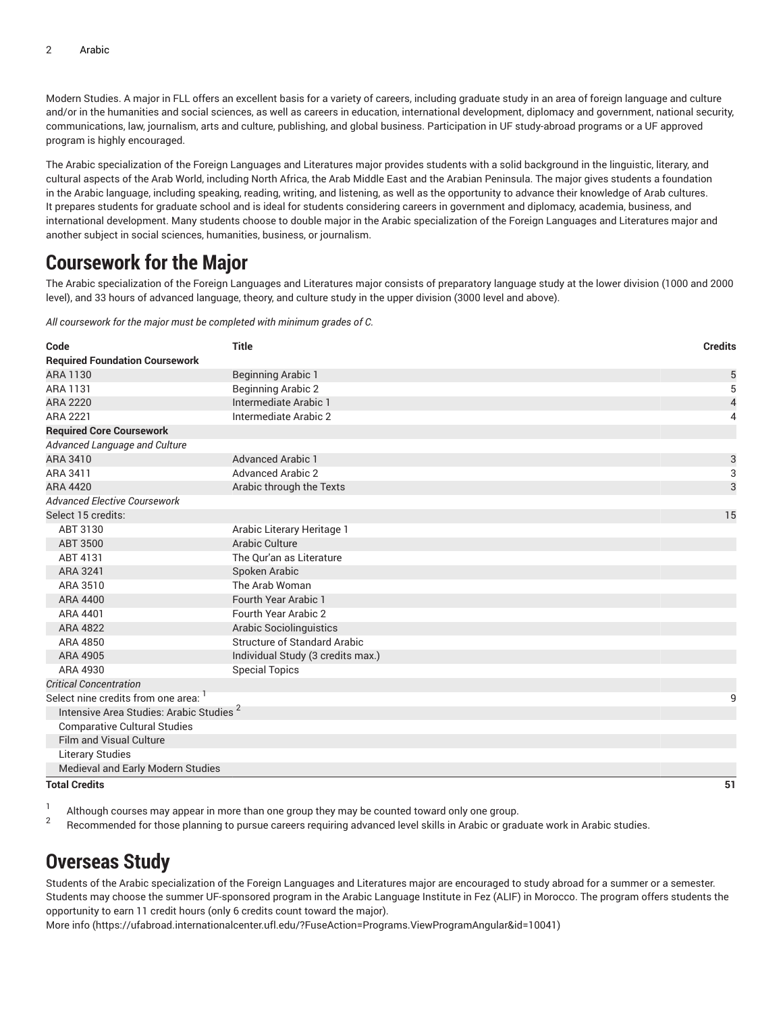Modern Studies. A major in FLL offers an excellent basis for a variety of careers, including graduate study in an area of foreign language and culture and/or in the humanities and social sciences, as well as careers in education, international development, diplomacy and government, national security, communications, law, journalism, arts and culture, publishing, and global business. Participation in UF study-abroad programs or a UF approved program is highly encouraged.

The Arabic specialization of the Foreign Languages and Literatures major provides students with a solid background in the linguistic, literary, and cultural aspects of the Arab World, including North Africa, the Arab Middle East and the Arabian Peninsula. The major gives students a foundation in the Arabic language, including speaking, reading, writing, and listening, as well as the opportunity to advance their knowledge of Arab cultures. It prepares students for graduate school and is ideal for students considering careers in government and diplomacy, academia, business, and international development. Many students choose to double major in the Arabic specialization of the Foreign Languages and Literatures major and another subject in social sciences, humanities, business, or journalism.

# **Coursework for the Major**

The Arabic specialization of the Foreign Languages and Literatures major consists of preparatory language study at the lower division (1000 and 2000 level), and 33 hours of advanced language, theory, and culture study in the upper division (3000 level and above).

*All coursework for the major must be completed with minimum grades of C.*

| Code                                                | <b>Title</b>                        | <b>Credits</b>           |
|-----------------------------------------------------|-------------------------------------|--------------------------|
| <b>Required Foundation Coursework</b>               |                                     |                          |
| ARA 1130                                            | <b>Beginning Arabic 1</b>           | 5                        |
| <b>ARA 1131</b>                                     | <b>Beginning Arabic 2</b>           | 5                        |
| <b>ARA 2220</b>                                     | Intermediate Arabic 1               | $\overline{\mathcal{A}}$ |
| ARA 2221                                            | Intermediate Arabic 2               |                          |
| <b>Required Core Coursework</b>                     |                                     |                          |
| Advanced Language and Culture                       |                                     |                          |
| ARA 3410                                            | <b>Advanced Arabic 1</b>            | $\mathsf{3}$             |
| ARA 3411                                            | <b>Advanced Arabic 2</b>            | 3                        |
| ARA 4420                                            | Arabic through the Texts            | 3                        |
| <b>Advanced Elective Coursework</b>                 |                                     |                          |
| Select 15 credits:                                  |                                     | 15                       |
| ABT 3130                                            | Arabic Literary Heritage 1          |                          |
| ABT 3500                                            | Arabic Culture                      |                          |
| ABT 4131                                            | The Our'an as Literature            |                          |
| ARA 3241                                            | Spoken Arabic                       |                          |
| ARA 3510                                            | The Arab Woman                      |                          |
| ARA 4400                                            | Fourth Year Arabic 1                |                          |
| ARA 4401                                            | Fourth Year Arabic 2                |                          |
| ARA 4822                                            | <b>Arabic Sociolinguistics</b>      |                          |
| ARA 4850                                            | <b>Structure of Standard Arabic</b> |                          |
| ARA 4905                                            | Individual Study (3 credits max.)   |                          |
| ARA 4930                                            | <b>Special Topics</b>               |                          |
| <b>Critical Concentration</b>                       |                                     |                          |
| Select nine credits from one area:                  |                                     | 9                        |
| Intensive Area Studies: Arabic Studies <sup>2</sup> |                                     |                          |
| <b>Comparative Cultural Studies</b>                 |                                     |                          |
| <b>Film and Visual Culture</b>                      |                                     |                          |
| <b>Literary Studies</b>                             |                                     |                          |
| Medieval and Early Modern Studies                   |                                     |                          |
| <b>Total Credits</b>                                |                                     | 51                       |

1 Although courses may appear in more than one group they may be counted toward only one group. 2

Recommended for those planning to pursue careers requiring advanced level skills in Arabic or graduate work in Arabic studies.

# **Overseas Study**

Students of the Arabic specialization of the Foreign Languages and Literatures major are encouraged to study abroad for a summer or a semester. Students may choose the summer UF-sponsored program in the Arabic Language Institute in Fez (ALIF) in Morocco. The program offers students the opportunity to earn 11 credit hours (only 6 credits count toward the major).

[More](https://ufabroad.internationalcenter.ufl.edu/?FuseAction=Programs.ViewProgramAngular&id=10041) info ([https://ufabroad.internationalcenter.ufl.edu/?FuseAction=Programs.ViewProgramAngular&id=10041\)](https://ufabroad.internationalcenter.ufl.edu/?FuseAction=Programs.ViewProgramAngular&id=10041)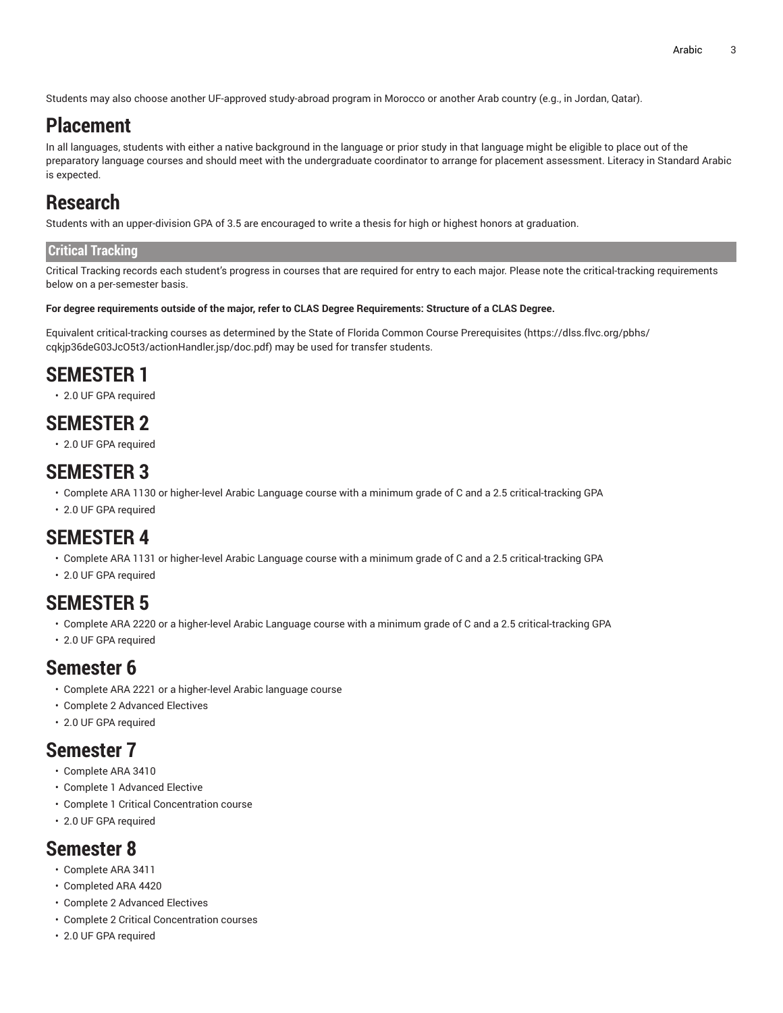Students may also choose another UF-approved study-abroad program in Morocco or another Arab country (e.g., in Jordan, Qatar).

# **Placement**

In all languages, students with either a native background in the language or prior study in that language might be eligible to place out of the preparatory language courses and should meet with the undergraduate coordinator to arrange for placement assessment. Literacy in Standard Arabic is expected.

# **Research**

Students with an upper-division GPA of 3.5 are encouraged to write a thesis for high or highest honors at graduation.

### **Critical Tracking**

Critical Tracking records each student's progress in courses that are required for entry to each major. Please note the critical-tracking requirements below on a per-semester basis.

#### For degree requirements outside of the major, refer to CLAS Degree Requirements: Structure of a CLAS Degree.

Equivalent critical-tracking courses as determined by the State of Florida Common Course [Prerequisites](https://dlss.flvc.org/pbhs/cqkjp36deG03JcO5t3/actionHandler.jsp/doc.pdf) ([https://dlss.flvc.org/pbhs/](https://dlss.flvc.org/pbhs/cqkjp36deG03JcO5t3/actionHandler.jsp/doc.pdf) [cqkjp36deG03JcO5t3/actionHandler.jsp/doc.pdf](https://dlss.flvc.org/pbhs/cqkjp36deG03JcO5t3/actionHandler.jsp/doc.pdf)) may be used for transfer students.

# **SEMESTER 1**

• 2.0 UF GPA required

# **SEMESTER 2**

• 2.0 UF GPA required

# **SEMESTER 3**

- Complete ARA 1130 or higher-level Arabic Language course with a minimum grade of C and a 2.5 critical-tracking GPA
- 2.0 UF GPA required

# **SEMESTER 4**

- Complete ARA 1131 or higher-level Arabic Language course with a minimum grade of C and a 2.5 critical-tracking GPA
- 2.0 UF GPA required

# **SEMESTER 5**

- Complete ARA 2220 or a higher-level Arabic Language course with a minimum grade of C and a 2.5 critical-tracking GPA
- 2.0 UF GPA required

# **Semester 6**

- Complete ARA 2221 or a higher-level Arabic language course
- Complete 2 Advanced Electives
- 2.0 UF GPA required

### **Semester 7**

- Complete ARA 3410
- Complete 1 Advanced Elective
- Complete 1 Critical Concentration course
- 2.0 UF GPA required

### **Semester 8**

- Complete ARA 3411
- Completed ARA 4420
- Complete 2 Advanced Electives
- Complete 2 Critical Concentration courses
- 2.0 UF GPA required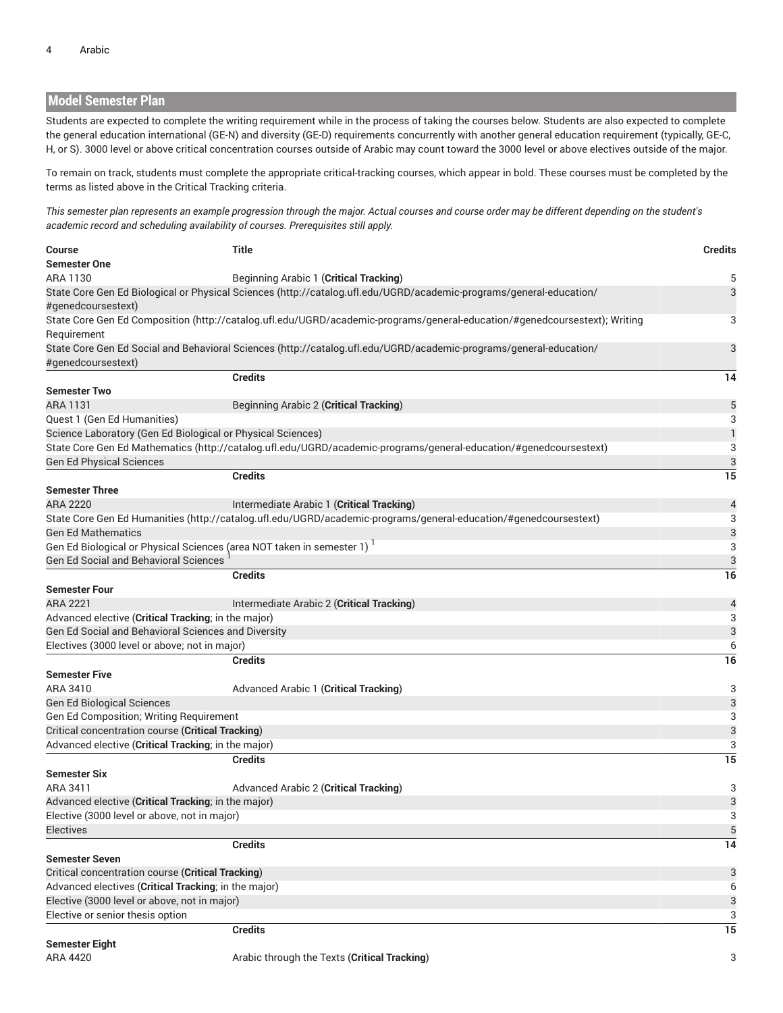### **Model Semester Plan**

Students are expected to complete the writing requirement while in the process of taking the courses below. Students are also expected to complete the general education international (GE-N) and diversity (GE-D) requirements concurrently with another general education requirement (typically, GE-C, H, or S). 3000 level or above critical concentration courses outside of Arabic may count toward the 3000 level or above electives outside of the major.

To remain on track, students must complete the appropriate critical-tracking courses, which appear in bold. These courses must be completed by the terms as listed above in the Critical Tracking criteria.

This semester plan represents an example progression through the major. Actual courses and course order may be different depending on the student's *academic record and scheduling availability of courses. Prerequisites still apply.*

| <b>Course</b>                                                                      | Title                                                                                                                      | <b>Credits</b> |
|------------------------------------------------------------------------------------|----------------------------------------------------------------------------------------------------------------------------|----------------|
| <b>Semester One</b>                                                                |                                                                                                                            |                |
| ARA 1130                                                                           | Beginning Arabic 1 (Critical Tracking)                                                                                     | 5              |
| #genedcoursestext)                                                                 | State Core Gen Ed Biological or Physical Sciences (http://catalog.ufl.edu/UGRD/academic-programs/general-education/        | 3              |
|                                                                                    | State Core Gen Ed Composition (http://catalog.ufl.edu/UGRD/academic-programs/general-education/#genedcoursestext); Writing | 3              |
| Requirement                                                                        |                                                                                                                            |                |
|                                                                                    |                                                                                                                            | 3              |
|                                                                                    | State Core Gen Ed Social and Behavioral Sciences (http://catalog.ufl.edu/UGRD/academic-programs/general-education/         |                |
| #genedcoursestext)                                                                 | <b>Credits</b>                                                                                                             | 14             |
|                                                                                    |                                                                                                                            |                |
| <b>Semester Two</b>                                                                |                                                                                                                            |                |
| ARA 1131                                                                           | Beginning Arabic 2 (Critical Tracking)                                                                                     | 5              |
| Quest 1 (Gen Ed Humanities)                                                        |                                                                                                                            | 3              |
| Science Laboratory (Gen Ed Biological or Physical Sciences)                        |                                                                                                                            | $\mathbf{1}$   |
|                                                                                    | State Core Gen Ed Mathematics (http://catalog.ufl.edu/UGRD/academic-programs/general-education/#genedcoursestext)          | 3              |
| <b>Gen Ed Physical Sciences</b>                                                    |                                                                                                                            | 3              |
|                                                                                    | <b>Credits</b>                                                                                                             | 15             |
| <b>Semester Three</b>                                                              |                                                                                                                            |                |
| ARA 2220                                                                           | Intermediate Arabic 1 (Critical Tracking)                                                                                  | $\overline{4}$ |
|                                                                                    | State Core Gen Ed Humanities (http://catalog.ufl.edu/UGRD/academic-programs/general-education/#genedcoursestext)           | 3              |
| <b>Gen Ed Mathematics</b>                                                          |                                                                                                                            | 3              |
| Gen Ed Biological or Physical Sciences (area NOT taken in semester 1) <sup>1</sup> |                                                                                                                            | 3              |
| <b>Gen Ed Social and Behavioral Sciences</b>                                       |                                                                                                                            | 3              |
|                                                                                    | <b>Credits</b>                                                                                                             | 16             |
| <b>Semester Four</b>                                                               |                                                                                                                            |                |
| <b>ARA 2221</b>                                                                    | Intermediate Arabic 2 (Critical Tracking)                                                                                  | $\overline{4}$ |
| Advanced elective (Critical Tracking; in the major)                                |                                                                                                                            | 3              |
| Gen Ed Social and Behavioral Sciences and Diversity                                |                                                                                                                            | 3              |
| Electives (3000 level or above; not in major)                                      |                                                                                                                            | 6              |
|                                                                                    | <b>Credits</b>                                                                                                             | 16             |
| <b>Semester Five</b>                                                               |                                                                                                                            |                |
| ARA 3410                                                                           | Advanced Arabic 1 (Critical Tracking)                                                                                      | 3              |
| <b>Gen Ed Biological Sciences</b>                                                  |                                                                                                                            | 3              |
| Gen Ed Composition; Writing Requirement                                            |                                                                                                                            | 3              |
| Critical concentration course (Critical Tracking)                                  |                                                                                                                            | 3              |
| Advanced elective (Critical Tracking; in the major)                                |                                                                                                                            | 3              |
|                                                                                    | <b>Credits</b>                                                                                                             | 15             |
| <b>Semester Six</b>                                                                |                                                                                                                            |                |
| ARA 3411                                                                           | Advanced Arabic 2 (Critical Tracking)                                                                                      | 3              |
|                                                                                    |                                                                                                                            |                |
| Advanced elective (Critical Tracking; in the major)                                |                                                                                                                            | 3              |
| Elective (3000 level or above, not in major)                                       |                                                                                                                            | 3              |
| <b>Electives</b>                                                                   |                                                                                                                            | 5              |
|                                                                                    | <b>Credits</b>                                                                                                             | 14             |
| <b>Semester Seven</b>                                                              |                                                                                                                            |                |
| Critical concentration course (Critical Tracking)                                  |                                                                                                                            | 3              |
| Advanced electives (Critical Tracking; in the major)                               |                                                                                                                            | 6              |
| Elective (3000 level or above, not in major)                                       |                                                                                                                            | 3              |
| Elective or senior thesis option                                                   |                                                                                                                            | 3              |
|                                                                                    | <b>Credits</b>                                                                                                             | 15             |
| <b>Semester Eight</b>                                                              |                                                                                                                            |                |
| ARA 4420                                                                           | Arabic through the Texts (Critical Tracking)                                                                               | 3              |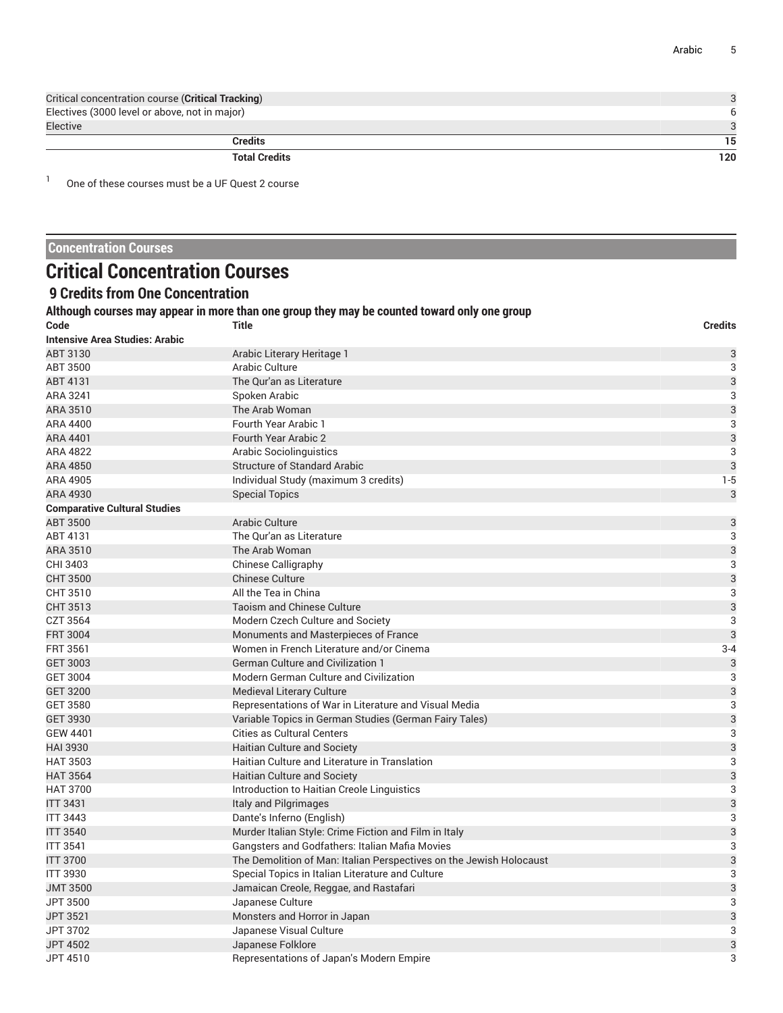| Critical concentration course (Critical Tracking) |     |
|---------------------------------------------------|-----|
| Electives (3000 level or above, not in major)     |     |
| Elective                                          |     |
| <b>Credits</b>                                    | 15  |
| <b>Total Credits</b>                              | 120 |

1 One of these courses must be a UF Quest 2 course

### **Concentration Courses**

# **Critical Concentration Courses**

### **9 Credits from One Concentration**

### **Although courses may appear in more than one group they may be counted toward only one group**

| Code                                | Title                                                               | <b>Credits</b> |
|-------------------------------------|---------------------------------------------------------------------|----------------|
| Intensive Area Studies: Arabic      |                                                                     |                |
| ABT 3130                            | Arabic Literary Heritage 1                                          | 3              |
| ABT 3500                            | <b>Arabic Culture</b>                                               | 3              |
| ABT 4131                            | The Qur'an as Literature                                            | $\mathfrak{B}$ |
| ARA 3241                            | Spoken Arabic                                                       | 3              |
| ARA 3510                            | The Arab Woman                                                      | 3              |
| ARA 4400                            | Fourth Year Arabic 1                                                | 3              |
| ARA 4401                            | <b>Fourth Year Arabic 2</b>                                         | $\mathsf{3}$   |
| <b>ARA 4822</b>                     | Arabic Sociolinguistics                                             | 3              |
| ARA 4850                            | <b>Structure of Standard Arabic</b>                                 | 3              |
| ARA 4905                            | Individual Study (maximum 3 credits)                                | $1 - 5$        |
| ARA 4930                            | <b>Special Topics</b>                                               | 3              |
| <b>Comparative Cultural Studies</b> |                                                                     |                |
| <b>ABT 3500</b>                     | <b>Arabic Culture</b>                                               | 3              |
| ABT 4131                            | The Qur'an as Literature                                            | 3              |
| ARA 3510                            | The Arab Woman                                                      | 3              |
| CHI 3403                            | <b>Chinese Calligraphy</b>                                          | 3              |
| <b>CHT 3500</b>                     | Chinese Culture                                                     | 3              |
| CHT 3510                            | All the Tea in China                                                | 3              |
| CHT 3513                            | <b>Taoism and Chinese Culture</b>                                   | 3              |
| <b>CZT 3564</b>                     | Modern Czech Culture and Society                                    | 3              |
| <b>FRT 3004</b>                     | Monuments and Masterpieces of France                                | 3              |
| <b>FRT 3561</b>                     | Women in French Literature and/or Cinema                            | $3 - 4$        |
| GET 3003                            | <b>German Culture and Civilization 1</b>                            | 3              |
| <b>GET 3004</b>                     | Modern German Culture and Civilization                              | 3              |
| <b>GET 3200</b>                     | <b>Medieval Literary Culture</b>                                    | 3              |
| <b>GET 3580</b>                     | Representations of War in Literature and Visual Media               | 3              |
| <b>GET 3930</b>                     | Variable Topics in German Studies (German Fairy Tales)              | 3              |
| GEW 4401                            | <b>Cities as Cultural Centers</b>                                   | 3              |
| <b>HAI 3930</b>                     | <b>Haitian Culture and Society</b>                                  | 3              |
| <b>HAT 3503</b>                     | Haitian Culture and Literature in Translation                       | 3              |
| <b>HAT 3564</b>                     | <b>Haitian Culture and Society</b>                                  | 3              |
| <b>HAT 3700</b>                     | Introduction to Haitian Creole Linguistics                          | 3              |
| <b>ITT 3431</b>                     | Italy and Pilgrimages                                               | 3              |
| <b>ITT 3443</b>                     | Dante's Inferno (English)                                           | 3              |
| <b>ITT 3540</b>                     | Murder Italian Style: Crime Fiction and Film in Italy               | 3              |
| <b>ITT 3541</b>                     | <b>Gangsters and Godfathers: Italian Mafia Movies</b>               | 3              |
| <b>ITT 3700</b>                     | The Demolition of Man: Italian Perspectives on the Jewish Holocaust | 3              |
| <b>ITT 3930</b>                     | Special Topics in Italian Literature and Culture                    | 3              |
| <b>JMT 3500</b>                     | Jamaican Creole, Reggae, and Rastafari                              | 3              |
| JPT 3500                            | Japanese Culture                                                    | 3              |
| JPT 3521                            | Monsters and Horror in Japan                                        | 3              |
| JPT 3702                            | Japanese Visual Culture                                             | 3              |
| <b>JPT 4502</b>                     | Japanese Folklore                                                   | 3              |
| JPT 4510                            | Representations of Japan's Modern Empire                            | 3              |
|                                     |                                                                     |                |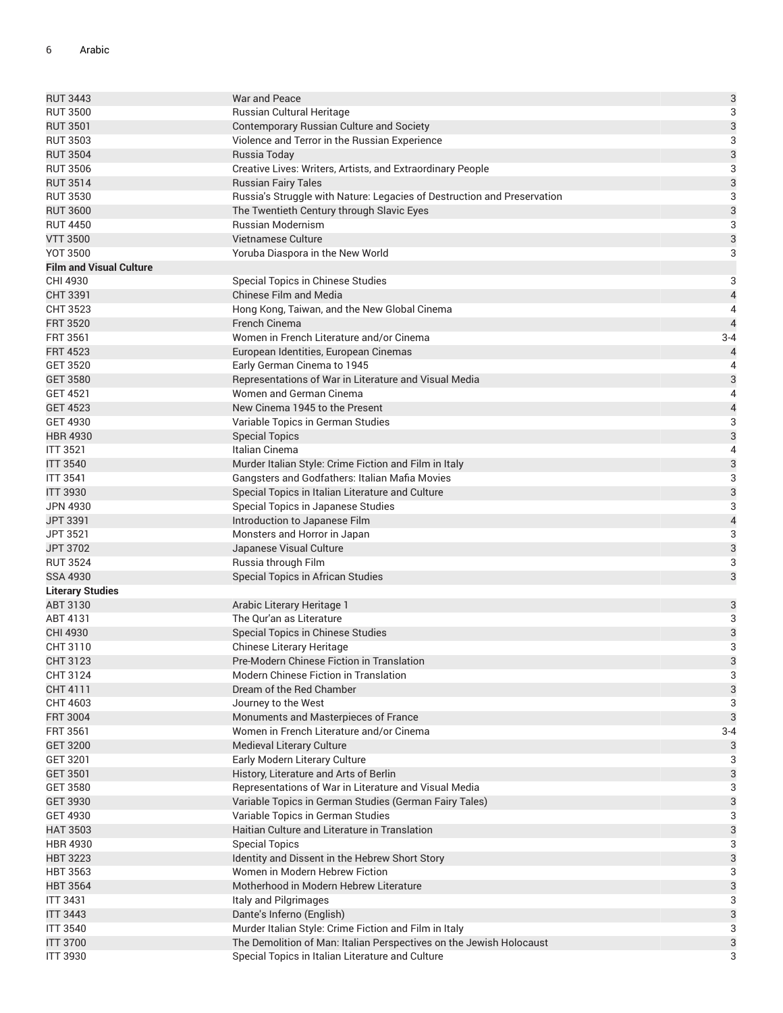| <b>RUT 3443</b>                | War and Peace                                                           | $\mathsf{3}$              |
|--------------------------------|-------------------------------------------------------------------------|---------------------------|
| <b>RUT 3500</b>                | Russian Cultural Heritage                                               | 3                         |
| <b>RUT 3501</b>                | Contemporary Russian Culture and Society                                | $\mathsf{3}$              |
| <b>RUT 3503</b>                | Violence and Terror in the Russian Experience                           | $\sqrt{3}$                |
| <b>RUT 3504</b>                | Russia Today                                                            | $\mathsf{3}$              |
| <b>RUT 3506</b>                | Creative Lives: Writers, Artists, and Extraordinary People              | 3                         |
| <b>RUT 3514</b>                | <b>Russian Fairy Tales</b>                                              | 3                         |
| <b>RUT 3530</b>                | Russia's Struggle with Nature: Legacies of Destruction and Preservation | 3                         |
| <b>RUT 3600</b>                | The Twentieth Century through Slavic Eyes                               | 3                         |
| <b>RUT 4450</b>                | <b>Russian Modernism</b>                                                | $\sqrt{3}$                |
| <b>VTT 3500</b>                | Vietnamese Culture                                                      | $\mathsf{3}$              |
| <b>YOT 3500</b>                | Yoruba Diaspora in the New World                                        | 3                         |
| <b>Film and Visual Culture</b> |                                                                         |                           |
| CHI 4930                       | Special Topics in Chinese Studies                                       | $\sqrt{3}$                |
| CHT 3391                       | Chinese Film and Media                                                  | $\overline{a}$            |
| CHT 3523                       | Hong Kong, Taiwan, and the New Global Cinema                            | $\overline{4}$            |
| <b>FRT 3520</b>                | French Cinema                                                           | $\overline{4}$            |
| FRT 3561                       | Women in French Literature and/or Cinema                                | $3 - 4$                   |
| <b>FRT 4523</b>                | European Identities, European Cinemas                                   | 4                         |
| <b>GET 3520</b>                | Early German Cinema to 1945                                             | $\overline{4}$            |
| <b>GET 3580</b>                | Representations of War in Literature and Visual Media                   | $\mathsf{3}$              |
| <b>GET 4521</b>                | Women and German Cinema                                                 | $\overline{4}$            |
| <b>GET 4523</b>                | New Cinema 1945 to the Present                                          | $\overline{\mathcal{L}}$  |
| <b>GET 4930</b>                | Variable Topics in German Studies                                       | 3                         |
| <b>HBR 4930</b>                | <b>Special Topics</b>                                                   | 3                         |
| <b>ITT 3521</b>                | Italian Cinema                                                          | $\overline{4}$            |
| <b>ITT 3540</b>                | Murder Italian Style: Crime Fiction and Film in Italy                   | $\mathsf{3}$              |
| <b>ITT 3541</b>                |                                                                         | $\sqrt{3}$                |
|                                | Gangsters and Godfathers: Italian Mafia Movies                          |                           |
| <b>ITT 3930</b>                | Special Topics in Italian Literature and Culture                        | $\mathbf{3}$              |
| <b>JPN 4930</b>                | Special Topics in Japanese Studies                                      | 3                         |
| JPT 3391                       | Introduction to Japanese Film                                           | $\overline{\mathcal{L}}$  |
| JPT 3521                       | Monsters and Horror in Japan                                            | 3                         |
| JPT 3702                       | Japanese Visual Culture                                                 | $\mathsf{3}$              |
| <b>RUT 3524</b>                | Russia through Film                                                     | 3                         |
| <b>SSA 4930</b>                | Special Topics in African Studies                                       | $\ensuremath{\mathsf{3}}$ |
| <b>Literary Studies</b>        |                                                                         |                           |
| ABT 3130                       | Arabic Literary Heritage 1                                              | 3                         |
| ABT 4131                       | The Qur'an as Literature                                                | 3                         |
| CHI 4930                       | Special Topics in Chinese Studies                                       | $\mathbf{3}$              |
| CHT 3110                       | Chinese Literary Heritage                                               | 3                         |
| CHT 3123                       | Pre-Modern Chinese Fiction in Translation                               | 3                         |
| CHT 3124                       | <b>Modern Chinese Fiction in Translation</b>                            | 3                         |
| CHT 4111                       | Dream of the Red Chamber                                                | 3                         |
| CHT 4603                       | Journey to the West                                                     | 3                         |
| <b>FRT 3004</b>                | Monuments and Masterpieces of France                                    | 3                         |
| FRT 3561                       | Women in French Literature and/or Cinema                                | $3 - 4$                   |
| <b>GET 3200</b>                | Medieval Literary Culture                                               | 3                         |
| GET 3201                       | Early Modern Literary Culture                                           | 3                         |
| GET 3501                       | History, Literature and Arts of Berlin                                  | 3                         |
| <b>GET 3580</b>                | Representations of War in Literature and Visual Media                   | 3                         |
| GET 3930                       | Variable Topics in German Studies (German Fairy Tales)                  | $\ensuremath{\mathsf{3}}$ |
| <b>GET 4930</b>                | Variable Topics in German Studies                                       | 3                         |
| <b>HAT 3503</b>                | Haitian Culture and Literature in Translation                           | $\ensuremath{\mathsf{3}}$ |
| <b>HBR 4930</b>                | <b>Special Topics</b>                                                   | 3                         |
| <b>HBT 3223</b>                | Identity and Dissent in the Hebrew Short Story                          | 3                         |
| <b>HBT 3563</b>                | Women in Modern Hebrew Fiction                                          | 3                         |
| <b>HBT 3564</b>                | Motherhood in Modern Hebrew Literature                                  | $\mathsf 3$               |
| <b>ITT 3431</b>                | Italy and Pilgrimages                                                   | 3                         |
| <b>ITT 3443</b>                | Dante's Inferno (English)                                               | 3                         |
| <b>ITT 3540</b>                | Murder Italian Style: Crime Fiction and Film in Italy                   | 3                         |
| <b>ITT 3700</b>                | The Demolition of Man: Italian Perspectives on the Jewish Holocaust     | 3                         |
| <b>ITT 3930</b>                | Special Topics in Italian Literature and Culture                        | 3                         |
|                                |                                                                         |                           |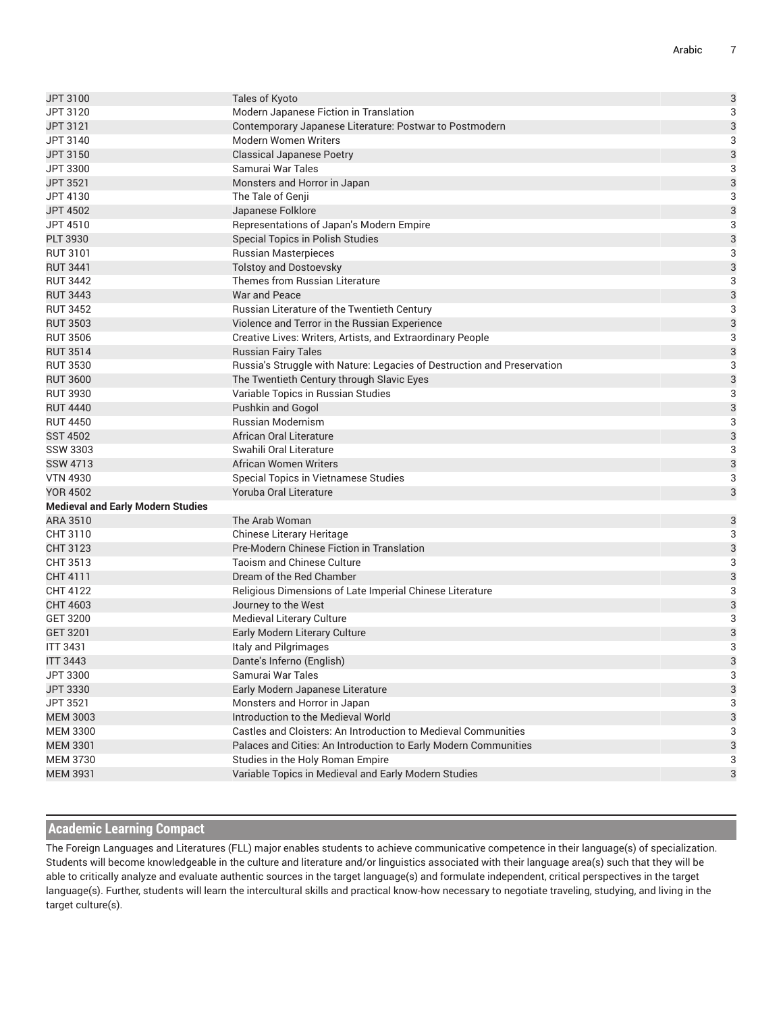| JPT 3100                                 | Tales of Kyoto                                                          | $\mathsf{3}$ |
|------------------------------------------|-------------------------------------------------------------------------|--------------|
| JPT 3120                                 | Modern Japanese Fiction in Translation                                  | 3            |
| JPT 3121                                 | Contemporary Japanese Literature: Postwar to Postmodern                 | 3            |
| JPT 3140                                 | Modern Women Writers                                                    | 3            |
| JPT 3150                                 | <b>Classical Japanese Poetry</b>                                        | 3            |
| JPT 3300                                 | Samurai War Tales                                                       | 3            |
| <b>JPT 3521</b>                          | Monsters and Horror in Japan                                            | 3            |
| JPT 4130                                 | The Tale of Genji                                                       | 3            |
| <b>JPT 4502</b>                          | Japanese Folklore                                                       | 3            |
| JPT 4510                                 | Representations of Japan's Modern Empire                                | 3            |
| <b>PLT 3930</b>                          | Special Topics in Polish Studies                                        | 3            |
| <b>RUT 3101</b>                          | <b>Russian Masterpieces</b>                                             | 3            |
| <b>RUT 3441</b>                          | <b>Tolstoy and Dostoevsky</b>                                           | 3            |
| <b>RUT 3442</b>                          | Themes from Russian Literature                                          | 3            |
| <b>RUT 3443</b>                          | War and Peace                                                           | 3            |
| <b>RUT 3452</b>                          | Russian Literature of the Twentieth Century                             | 3            |
| <b>RUT 3503</b>                          | Violence and Terror in the Russian Experience                           | 3            |
| <b>RUT 3506</b>                          | Creative Lives: Writers, Artists, and Extraordinary People              | 3            |
| <b>RUT 3514</b>                          | <b>Russian Fairy Tales</b>                                              | 3            |
| <b>RUT 3530</b>                          | Russia's Struggle with Nature: Legacies of Destruction and Preservation | 3            |
| <b>RUT 3600</b>                          | The Twentieth Century through Slavic Eyes                               | 3            |
| <b>RUT 3930</b>                          | Variable Topics in Russian Studies                                      | 3            |
| <b>RUT 4440</b>                          | Pushkin and Gogol                                                       | 3            |
| <b>RUT 4450</b>                          | <b>Russian Modernism</b>                                                | 3            |
| <b>SST 4502</b>                          | African Oral Literature                                                 | 3            |
| <b>SSW 3303</b>                          | Swahili Oral Literature                                                 | 3            |
| <b>SSW 4713</b>                          | <b>African Women Writers</b>                                            | 3            |
| <b>VTN 4930</b>                          | Special Topics in Vietnamese Studies                                    | 3            |
| <b>YOR 4502</b>                          | Yoruba Oral Literature                                                  | 3            |
| <b>Medieval and Early Modern Studies</b> |                                                                         |              |
| ARA 3510                                 | The Arab Woman                                                          | 3            |
| CHT 3110                                 | Chinese Literary Heritage                                               | 3            |
| CHT 3123                                 | Pre-Modern Chinese Fiction in Translation                               | 3            |
| CHT 3513                                 | <b>Taoism and Chinese Culture</b>                                       | 3            |
| CHT 4111                                 | Dream of the Red Chamber                                                | 3            |
| CHT 4122                                 | Religious Dimensions of Late Imperial Chinese Literature                | 3            |
| CHT 4603                                 | Journey to the West                                                     | 3            |
| <b>GET 3200</b>                          | Medieval Literary Culture                                               | 3            |
| GET 3201                                 | Early Modern Literary Culture                                           | 3            |
| <b>ITT 3431</b>                          | Italy and Pilgrimages                                                   | 3            |
| <b>ITT 3443</b>                          | Dante's Inferno (English)                                               | 3            |
| JPT 3300                                 | Samurai War Tales                                                       | 3            |
| JPT 3330                                 | Early Modern Japanese Literature                                        | 3            |
| JPT 3521                                 | Monsters and Horror in Japan                                            | 3            |
| <b>MEM 3003</b>                          | Introduction to the Medieval World                                      | 3            |
| <b>MEM 3300</b>                          | Castles and Cloisters: An Introduction to Medieval Communities          | 3            |
| <b>MEM 3301</b>                          | Palaces and Cities: An Introduction to Early Modern Communities         | 3            |
| <b>MEM 3730</b>                          | Studies in the Holy Roman Empire                                        | 3            |
| <b>MEM 3931</b>                          | Variable Topics in Medieval and Early Modern Studies                    | 3            |
|                                          |                                                                         |              |

### **Academic Learning Compact**

The Foreign Languages and Literatures (FLL) major enables students to achieve communicative competence in their language(s) of specialization. Students will become knowledgeable in the culture and literature and/or linguistics associated with their language area(s) such that they will be able to critically analyze and evaluate authentic sources in the target language(s) and formulate independent, critical perspectives in the target language(s). Further, students will learn the intercultural skills and practical know-how necessary to negotiate traveling, studying, and living in the target culture(s).